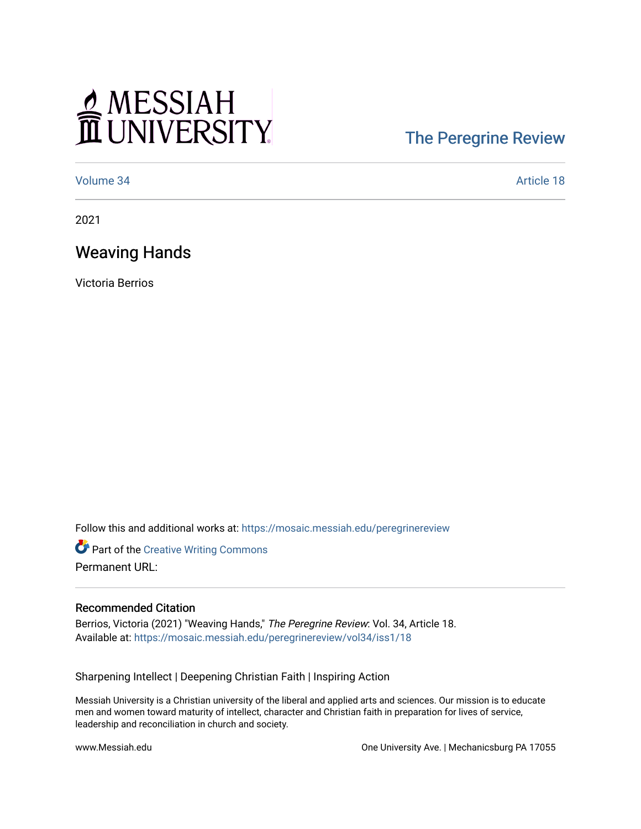# MESSIAH

## [The Peregrine Review](https://mosaic.messiah.edu/peregrinereview)

[Volume 34](https://mosaic.messiah.edu/peregrinereview/vol34) Article 18

2021

### Weaving Hands

Victoria Berrios

Follow this and additional works at: [https://mosaic.messiah.edu/peregrinereview](https://mosaic.messiah.edu/peregrinereview?utm_source=mosaic.messiah.edu%2Fperegrinereview%2Fvol34%2Fiss1%2F18&utm_medium=PDF&utm_campaign=PDFCoverPages) 

**Part of the Creative Writing Commons** Permanent URL:

#### Recommended Citation

Berrios, Victoria (2021) "Weaving Hands," The Peregrine Review: Vol. 34, Article 18. Available at: [https://mosaic.messiah.edu/peregrinereview/vol34/iss1/18](https://mosaic.messiah.edu/peregrinereview/vol34/iss1/18?utm_source=mosaic.messiah.edu%2Fperegrinereview%2Fvol34%2Fiss1%2F18&utm_medium=PDF&utm_campaign=PDFCoverPages)

Sharpening Intellect | Deepening Christian Faith | Inspiring Action

Messiah University is a Christian university of the liberal and applied arts and sciences. Our mission is to educate men and women toward maturity of intellect, character and Christian faith in preparation for lives of service, leadership and reconciliation in church and society.

www.Messiah.edu **One University Ave. | Mechanicsburg PA 17055**